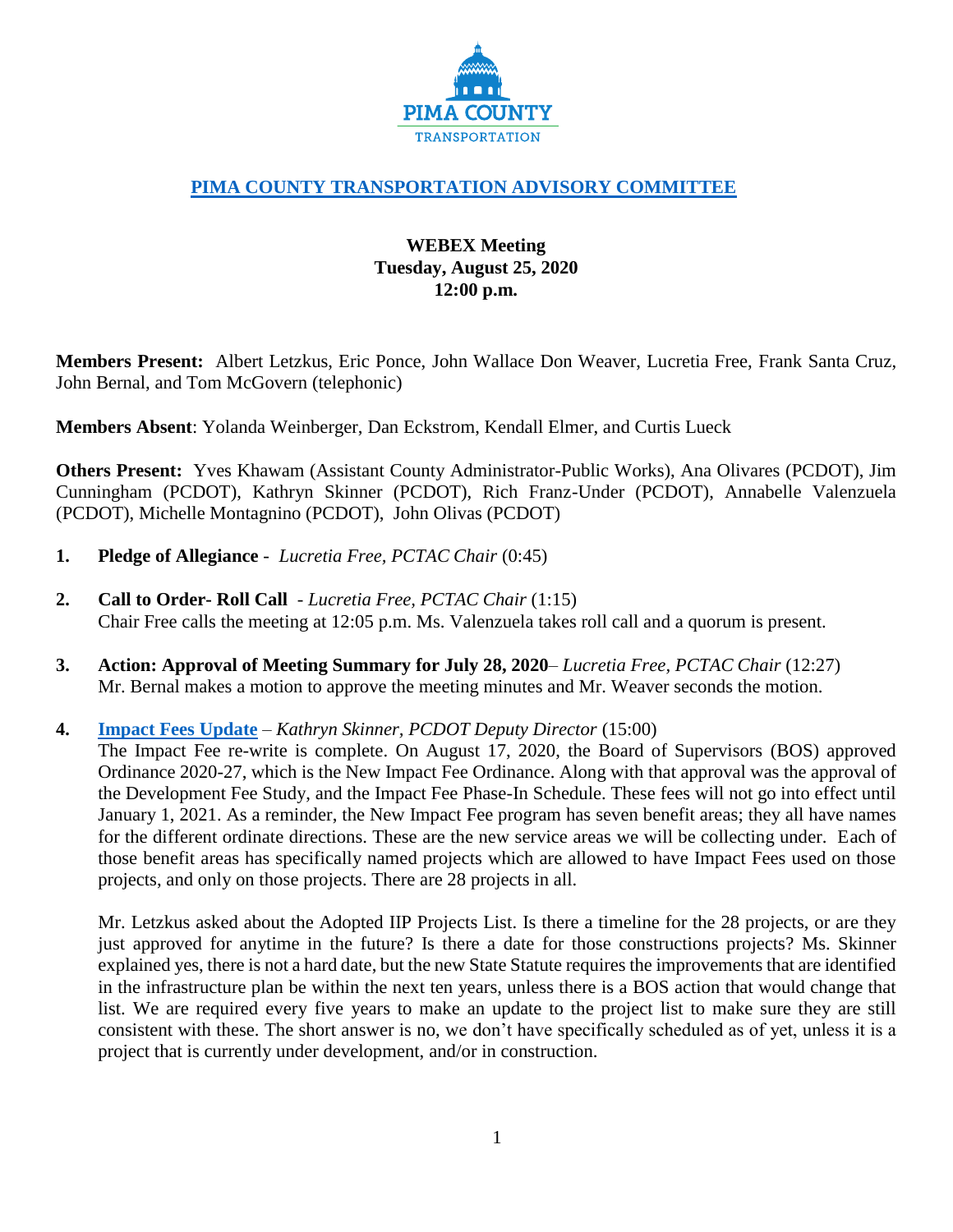

# **[PIMA COUNTY TRANSPORTATION ADVISORY COMMITTEE](https://webcms.pima.gov/cms/One.aspx?portalId=169&pageId=355530)**

# **WEBEX Meeting Tuesday, August 25, 2020 12:00 p.m.**

**Members Present:** Albert Letzkus, Eric Ponce, John Wallace Don Weaver, Lucretia Free, Frank Santa Cruz, John Bernal, and Tom McGovern (telephonic)

**Members Absent**: Yolanda Weinberger, Dan Eckstrom, Kendall Elmer, and Curtis Lueck

**Others Present:** Yves Khawam (Assistant County Administrator-Public Works), Ana Olivares (PCDOT), Jim Cunningham (PCDOT), Kathryn Skinner (PCDOT), Rich Franz-Under (PCDOT), Annabelle Valenzuela (PCDOT), Michelle Montagnino (PCDOT), John Olivas (PCDOT)

- **1. Pledge of Allegiance**  *Lucretia Free, PCTAC Chair* (0:45)
- **2. Call to Order- Roll Call**  *Lucretia Free, PCTAC Chair* (1:15) Chair Free calls the meeting at 12:05 p.m. Ms. Valenzuela takes roll call and a quorum is present.
- **3. Action: Approval of Meeting Summary for July 28, 2020** *Lucretia Free, PCTAC Chair* (12:27) Mr. Bernal makes a motion to approve the meeting minutes and Mr. Weaver seconds the motion.

## **4. [Impact Fees Update](https://webcms.pima.gov/UserFiles/Servers/Server_6/File/Government/Transportation/TransportationAdvisoryCommittee/DocumentsTab/Aug25,2020/PCTAC%20Impact%20Fee%20update.pdf)** – *Kathryn Skinner, PCDOT Deputy Director* (15:00)

The Impact Fee re-write is complete. On August 17, 2020, the Board of Supervisors (BOS) approved Ordinance 2020-27, which is the New Impact Fee Ordinance. Along with that approval was the approval of the Development Fee Study, and the Impact Fee Phase-In Schedule. These fees will not go into effect until January 1, 2021. As a reminder, the New Impact Fee program has seven benefit areas; they all have names for the different ordinate directions. These are the new service areas we will be collecting under. Each of those benefit areas has specifically named projects which are allowed to have Impact Fees used on those projects, and only on those projects. There are 28 projects in all.

Mr. Letzkus asked about the Adopted IIP Projects List. Is there a timeline for the 28 projects, or are they just approved for anytime in the future? Is there a date for those constructions projects? Ms. Skinner explained yes, there is not a hard date, but the new State Statute requires the improvements that are identified in the infrastructure plan be within the next ten years, unless there is a BOS action that would change that list. We are required every five years to make an update to the project list to make sure they are still consistent with these. The short answer is no, we don't have specifically scheduled as of yet, unless it is a project that is currently under development, and/or in construction.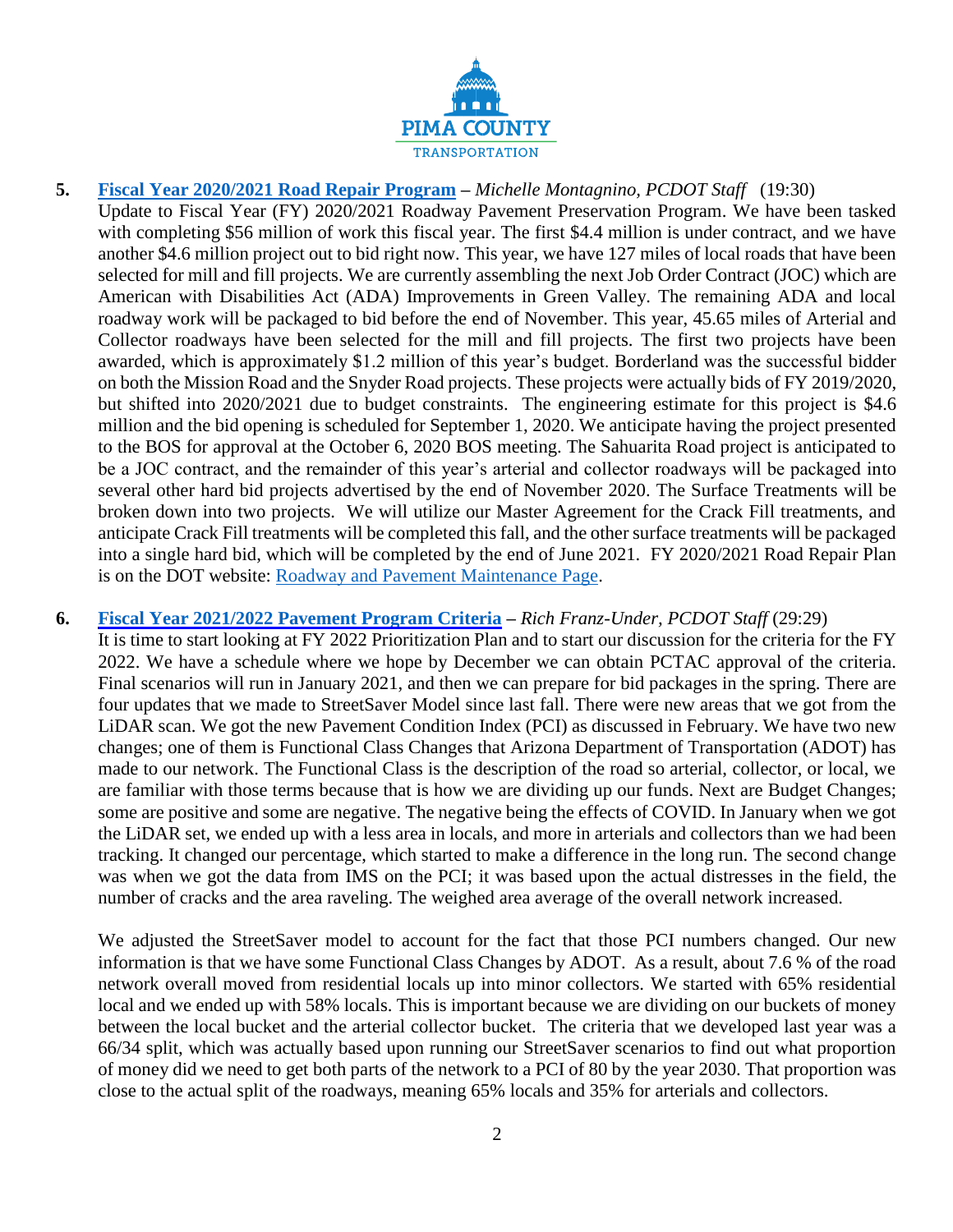

**5. [Fiscal Year 2020/2021 Road Repair Program](https://webcms.pima.gov/UserFiles/Servers/Server_6/File/Government/Transportation/TransportationAdvisoryCommittee/DocumentsTab/Aug25,2020/PTAC%2020200825%20Pavement%20Program%20Update%20v2.pdf) –** *Michelle Montagnino, PCDOT Staff* (19:30) Update to Fiscal Year (FY) 2020/2021 Roadway Pavement Preservation Program. We have been tasked with completing \$56 million of work this fiscal year. The first \$4.4 million is under contract, and we have another \$4.6 million project out to bid right now. This year, we have 127 miles of local roads that have been selected for mill and fill projects. We are currently assembling the next Job Order Contract (JOC) which are American with Disabilities Act (ADA) Improvements in Green Valley. The remaining ADA and local roadway work will be packaged to bid before the end of November. This year, 45.65 miles of Arterial and Collector roadways have been selected for the mill and fill projects. The first two projects have been awarded, which is approximately \$1.2 million of this year's budget. Borderland was the successful bidder on both the Mission Road and the Snyder Road projects. These projects were actually bids of FY 2019/2020, but shifted into 2020/2021 due to budget constraints. The engineering estimate for this project is \$4.6 million and the bid opening is scheduled for September 1, 2020. We anticipate having the project presented to the BOS for approval at the October 6, 2020 BOS meeting. The Sahuarita Road project is anticipated to be a JOC contract, and the remainder of this year's arterial and collector roadways will be packaged into several other hard bid projects advertised by the end of November 2020. The Surface Treatments will be broken down into two projects. We will utilize our Master Agreement for the Crack Fill treatments, and anticipate Crack Fill treatments will be completed this fall, and the other surface treatments will be packaged into a single hard bid, which will be completed by the end of June 2021. FY 2020/2021 Road Repair Plan is on the DOT website: [Roadway and Pavement Maintenance Page.](https://webcms.pima.gov/cms/One.aspx?portalId=169&pageId=53289)

### **6. [Fiscal Year 2021/2022 Pavement Program Criteria](https://webcms.pima.gov/UserFiles/Servers/Server_6/File/Government/Transportation/TransportationAdvisoryCommittee/DocumentsTab/Aug25,2020/Roadway%20Prioritization%20Plan%20FY%2022.pdf) –** *Rich Franz-Under, PCDOT Staff* (29:29)

It is time to start looking at FY 2022 Prioritization Plan and to start our discussion for the criteria for the FY 2022. We have a schedule where we hope by December we can obtain PCTAC approval of the criteria. Final scenarios will run in January 2021, and then we can prepare for bid packages in the spring. There are four updates that we made to StreetSaver Model since last fall. There were new areas that we got from the LiDAR scan. We got the new Pavement Condition Index (PCI) as discussed in February. We have two new changes; one of them is Functional Class Changes that Arizona Department of Transportation (ADOT) has made to our network. The Functional Class is the description of the road so arterial, collector, or local, we are familiar with those terms because that is how we are dividing up our funds. Next are Budget Changes; some are positive and some are negative. The negative being the effects of COVID. In January when we got the LiDAR set, we ended up with a less area in locals, and more in arterials and collectors than we had been tracking. It changed our percentage, which started to make a difference in the long run. The second change was when we got the data from IMS on the PCI; it was based upon the actual distresses in the field, the number of cracks and the area raveling. The weighed area average of the overall network increased.

We adjusted the StreetSaver model to account for the fact that those PCI numbers changed. Our new information is that we have some Functional Class Changes by ADOT. As a result, about 7.6 % of the road network overall moved from residential locals up into minor collectors. We started with 65% residential local and we ended up with 58% locals. This is important because we are dividing on our buckets of money between the local bucket and the arterial collector bucket. The criteria that we developed last year was a 66/34 split, which was actually based upon running our StreetSaver scenarios to find out what proportion of money did we need to get both parts of the network to a PCI of 80 by the year 2030. That proportion was close to the actual split of the roadways, meaning 65% locals and 35% for arterials and collectors.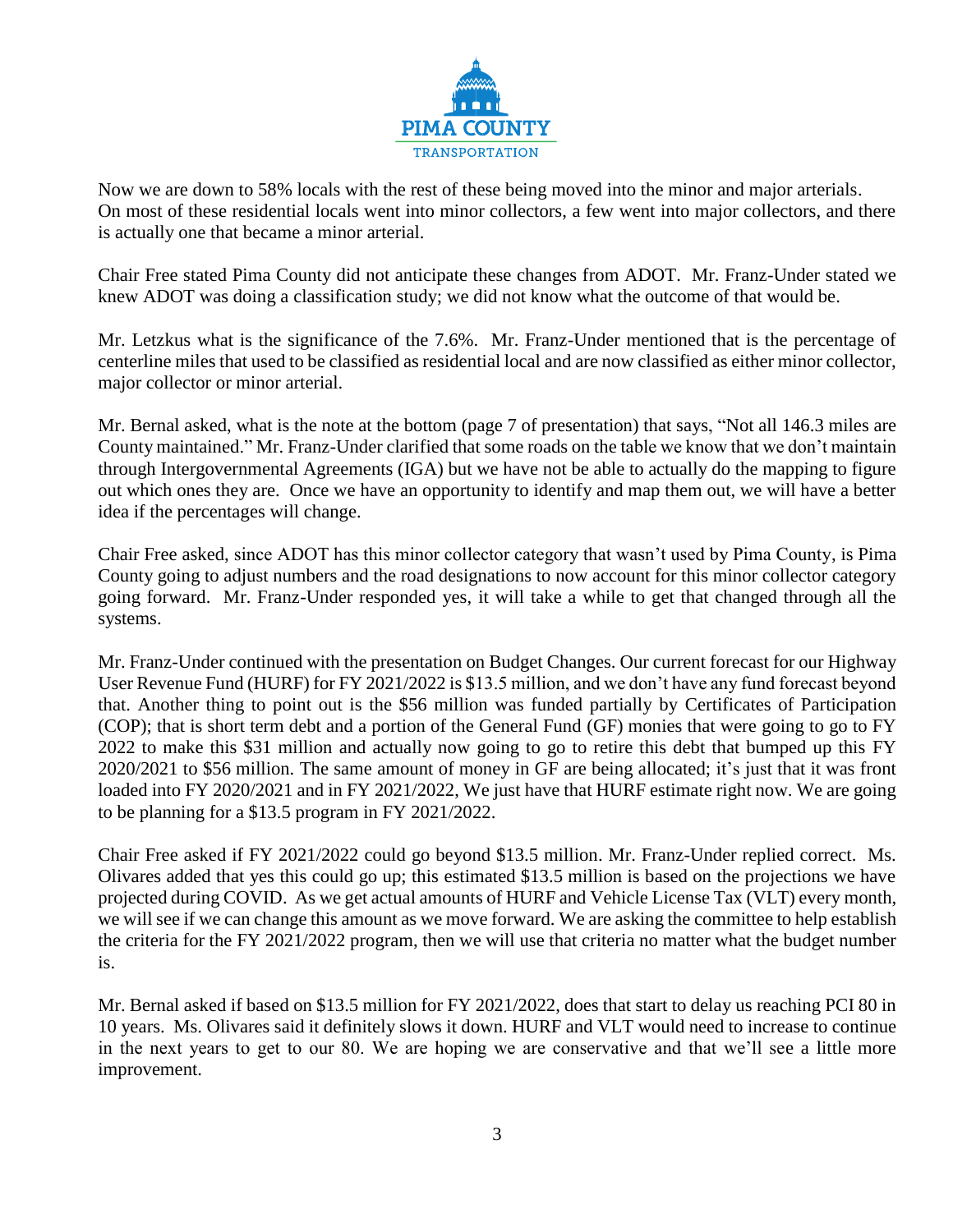

Now we are down to 58% locals with the rest of these being moved into the minor and major arterials. On most of these residential locals went into minor collectors, a few went into major collectors, and there is actually one that became a minor arterial.

Chair Free stated Pima County did not anticipate these changes from ADOT. Mr. Franz-Under stated we knew ADOT was doing a classification study; we did not know what the outcome of that would be.

Mr. Letzkus what is the significance of the 7.6%. Mr. Franz-Under mentioned that is the percentage of centerline miles that used to be classified as residential local and are now classified as either minor collector, major collector or minor arterial.

Mr. Bernal asked, what is the note at the bottom (page 7 of presentation) that says, "Not all 146.3 miles are County maintained." Mr. Franz-Under clarified that some roads on the table we know that we don't maintain through Intergovernmental Agreements (IGA) but we have not be able to actually do the mapping to figure out which ones they are. Once we have an opportunity to identify and map them out, we will have a better idea if the percentages will change.

Chair Free asked, since ADOT has this minor collector category that wasn't used by Pima County, is Pima County going to adjust numbers and the road designations to now account for this minor collector category going forward. Mr. Franz-Under responded yes, it will take a while to get that changed through all the systems.

Mr. Franz-Under continued with the presentation on Budget Changes. Our current forecast for our Highway User Revenue Fund (HURF) for FY 2021/2022 is \$13.5 million, and we don't have any fund forecast beyond that. Another thing to point out is the \$56 million was funded partially by Certificates of Participation (COP); that is short term debt and a portion of the General Fund (GF) monies that were going to go to FY 2022 to make this \$31 million and actually now going to go to retire this debt that bumped up this FY 2020/2021 to \$56 million. The same amount of money in GF are being allocated; it's just that it was front loaded into FY 2020/2021 and in FY 2021/2022, We just have that HURF estimate right now. We are going to be planning for a \$13.5 program in FY 2021/2022.

Chair Free asked if FY 2021/2022 could go beyond \$13.5 million. Mr. Franz-Under replied correct. Ms. Olivares added that yes this could go up; this estimated \$13.5 million is based on the projections we have projected during COVID. As we get actual amounts of HURF and Vehicle License Tax (VLT) every month, we will see if we can change this amount as we move forward. We are asking the committee to help establish the criteria for the FY 2021/2022 program, then we will use that criteria no matter what the budget number is.

Mr. Bernal asked if based on \$13.5 million for FY 2021/2022, does that start to delay us reaching PCI 80 in 10 years. Ms. Olivares said it definitely slows it down. HURF and VLT would need to increase to continue in the next years to get to our 80. We are hoping we are conservative and that we'll see a little more improvement.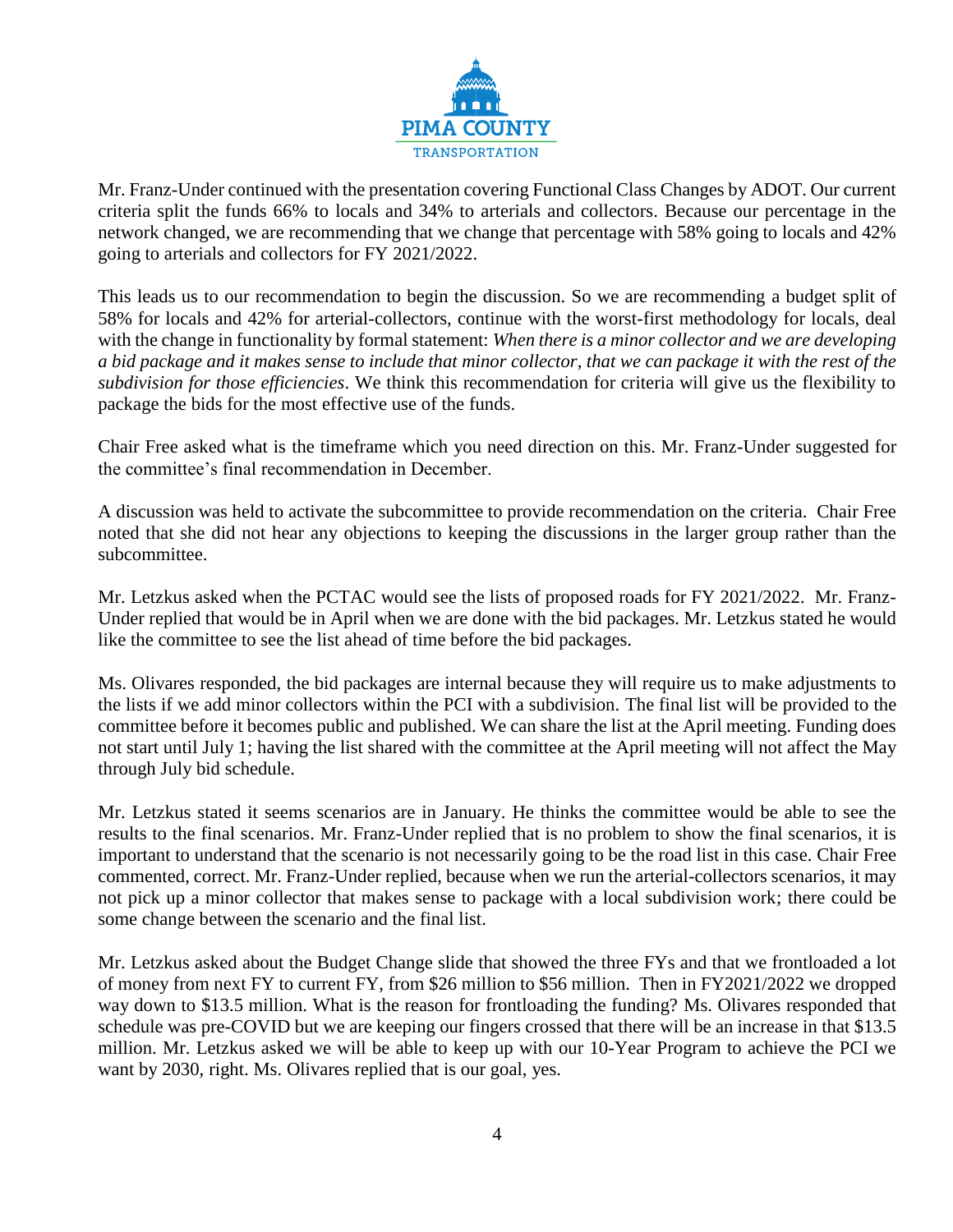

Mr. Franz-Under continued with the presentation covering Functional Class Changes by ADOT. Our current criteria split the funds 66% to locals and 34% to arterials and collectors. Because our percentage in the network changed, we are recommending that we change that percentage with 58% going to locals and 42% going to arterials and collectors for FY 2021/2022.

This leads us to our recommendation to begin the discussion. So we are recommending a budget split of 58% for locals and 42% for arterial-collectors, continue with the worst-first methodology for locals, deal with the change in functionality by formal statement: *When there is a minor collector and we are developing a bid package and it makes sense to include that minor collector, that we can package it with the rest of the subdivision for those efficiencies*. We think this recommendation for criteria will give us the flexibility to package the bids for the most effective use of the funds.

Chair Free asked what is the timeframe which you need direction on this. Mr. Franz-Under suggested for the committee's final recommendation in December.

A discussion was held to activate the subcommittee to provide recommendation on the criteria. Chair Free noted that she did not hear any objections to keeping the discussions in the larger group rather than the subcommittee.

Mr. Letzkus asked when the PCTAC would see the lists of proposed roads for FY 2021/2022. Mr. Franz-Under replied that would be in April when we are done with the bid packages. Mr. Letzkus stated he would like the committee to see the list ahead of time before the bid packages.

Ms. Olivares responded, the bid packages are internal because they will require us to make adjustments to the lists if we add minor collectors within the PCI with a subdivision. The final list will be provided to the committee before it becomes public and published. We can share the list at the April meeting. Funding does not start until July 1; having the list shared with the committee at the April meeting will not affect the May through July bid schedule.

Mr. Letzkus stated it seems scenarios are in January. He thinks the committee would be able to see the results to the final scenarios. Mr. Franz-Under replied that is no problem to show the final scenarios, it is important to understand that the scenario is not necessarily going to be the road list in this case. Chair Free commented, correct. Mr. Franz-Under replied, because when we run the arterial-collectors scenarios, it may not pick up a minor collector that makes sense to package with a local subdivision work; there could be some change between the scenario and the final list.

Mr. Letzkus asked about the Budget Change slide that showed the three FYs and that we frontloaded a lot of money from next FY to current FY, from \$26 million to \$56 million. Then in FY2021/2022 we dropped way down to \$13.5 million. What is the reason for frontloading the funding? Ms. Olivares responded that schedule was pre-COVID but we are keeping our fingers crossed that there will be an increase in that \$13.5 million. Mr. Letzkus asked we will be able to keep up with our 10-Year Program to achieve the PCI we want by 2030, right. Ms. Olivares replied that is our goal, yes.